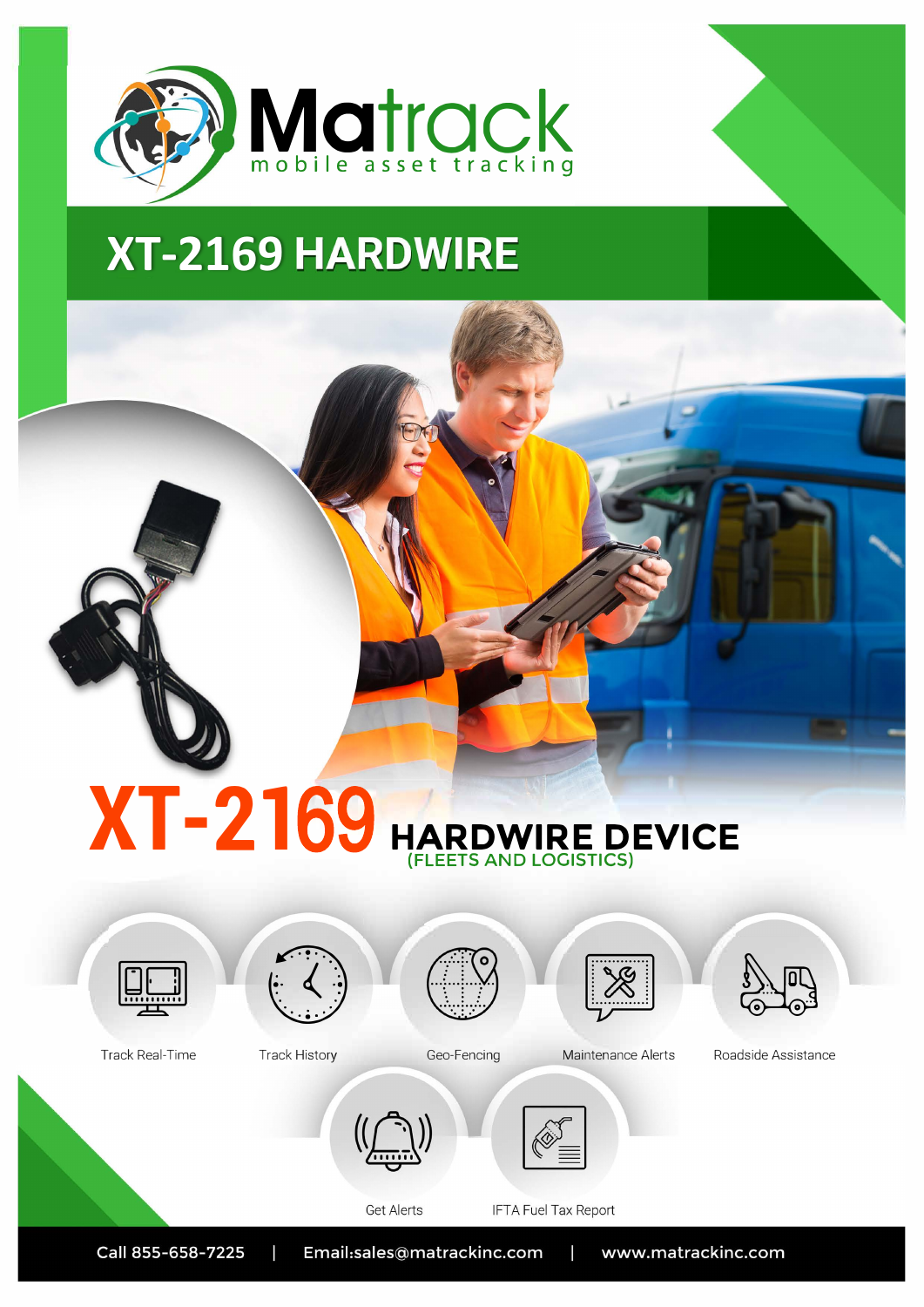

# **XT-2169 HARDWIRE**

## **XT-2169** HARDWIRE DEVICE



Track Real-Time



**Track History** 



Geo-Fencing





Roadside Assistance





Maintenance Alerts



**IFTA Fuel Tax Report** 



Call 855-658-7225 Email:sales@matrackinc.com Т www.matrackinc.com Т